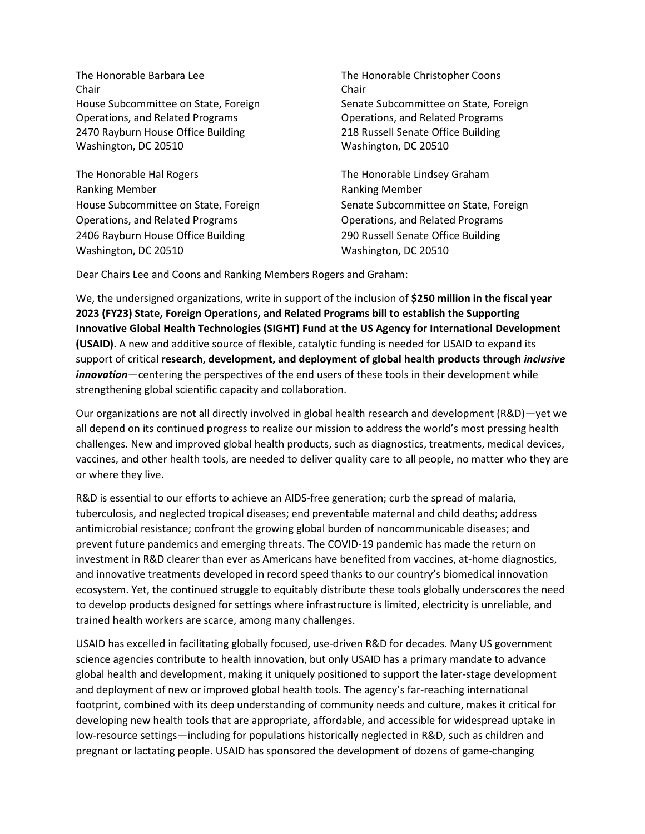The Honorable Barbara Lee The Honorable Christopher Coons Chair Chair Operations, and Related Programs Operations, and Related Programs 2470 Rayburn House Office Building 218 Russell Senate Office Building Washington, DC 20510 Washington, DC 20510

The Honorable Hal Rogers The Honorable Lindsey Graham Ranking Member **Ranking Member** Ranking Member Operations, and Related Programs Operations, and Related Programs 2406 Rayburn House Office Building 290 Russell Senate Office Building Washington, DC 20510 Washington, DC 20510

House Subcommittee on State, Foreign Senate Subcommittee on State, Foreign

House Subcommittee on State, Foreign Subcommittee on State, Foreign State, Foreign

Dear Chairs Lee and Coons and Ranking Members Rogers and Graham:

We, the undersigned organizations, write in support of the inclusion of **\$250 million in the fiscal year 2023 (FY23) State, Foreign Operations, and Related Programs bill to establish the Supporting Innovative Global Health Technologies (SIGHT) Fund at the US Agency for International Development (USAID)**. A new and additive source of flexible, catalytic funding is needed for USAID to expand its support of critical **research, development, and deployment of global health products through** *inclusive innovation*—centering the perspectives of the end users of these tools in their development while strengthening global scientific capacity and collaboration.

Our organizations are not all directly involved in global health research and development (R&D)—yet we all depend on its continued progress to realize our mission to address the world's most pressing health challenges. New and improved global health products, such as diagnostics, treatments, medical devices, vaccines, and other health tools, are needed to deliver quality care to all people, no matter who they are or where they live.

R&D is essential to our efforts to achieve an AIDS-free generation; curb the spread of malaria, tuberculosis, and neglected tropical diseases; end preventable maternal and child deaths; address antimicrobial resistance; confront the growing global burden of noncommunicable diseases; and prevent future pandemics and emerging threats. The COVID-19 pandemic has made the return on investment in R&D clearer than ever as Americans have benefited from vaccines, at-home diagnostics, and innovative treatments developed in record speed thanks to our country's biomedical innovation ecosystem. Yet, the continued struggle to equitably distribute these tools globally underscores the need to develop products designed for settings where infrastructure is limited, electricity is unreliable, and trained health workers are scarce, among many challenges.

USAID has excelled in facilitating globally focused, use-driven R&D for decades. Many US government science agencies contribute to health innovation, but only USAID has a primary mandate to advance global health and development, making it uniquely positioned to support the later-stage development and deployment of new or improved global health tools. The agency's far-reaching international footprint, combined with its deep understanding of community needs and culture, makes it critical for developing new health tools that are appropriate, affordable, and accessible for widespread uptake in low-resource settings—including for populations historically neglected in R&D, such as children and pregnant or lactating people. USAID has sponsored the development of dozens of game-changing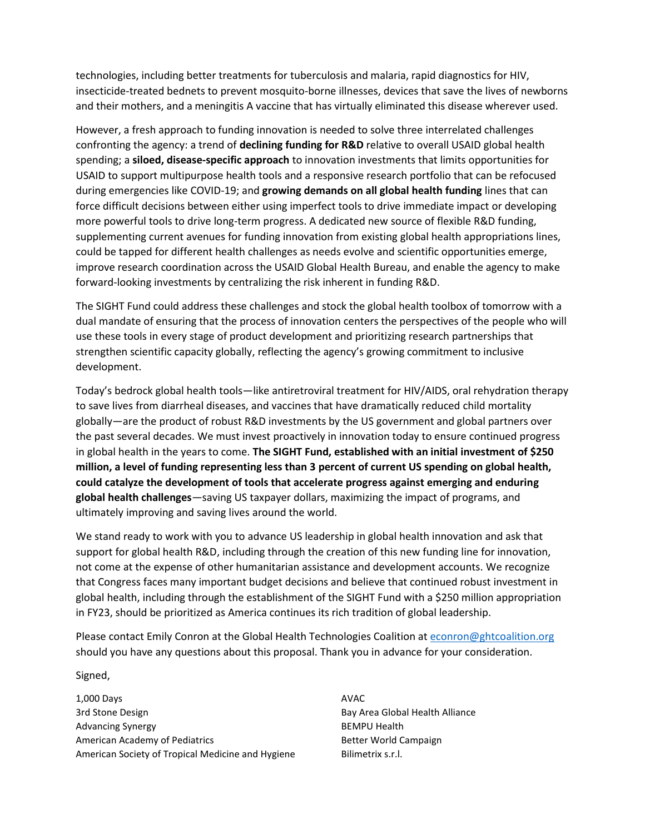technologies, including better treatments for tuberculosis and malaria, rapid diagnostics for HIV, insecticide-treated bednets to prevent mosquito-borne illnesses, devices that save the lives of newborns and their mothers, and a meningitis A vaccine that has virtually eliminated this disease wherever used.

However, a fresh approach to funding innovation is needed to solve three interrelated challenges confronting the agency: a trend of **declining funding for R&D** relative to overall USAID global health spending; a **siloed, disease-specific approach** to innovation investments that limits opportunities for USAID to support multipurpose health tools and a responsive research portfolio that can be refocused during emergencies like COVID-19; and **growing demands on all global health funding** lines that can force difficult decisions between either using imperfect tools to drive immediate impact or developing more powerful tools to drive long-term progress. A dedicated new source of flexible R&D funding, supplementing current avenues for funding innovation from existing global health appropriations lines, could be tapped for different health challenges as needs evolve and scientific opportunities emerge, improve research coordination across the USAID Global Health Bureau, and enable the agency to make forward-looking investments by centralizing the risk inherent in funding R&D.

The SIGHT Fund could address these challenges and stock the global health toolbox of tomorrow with a dual mandate of ensuring that the process of innovation centers the perspectives of the people who will use these tools in every stage of product development and prioritizing research partnerships that strengthen scientific capacity globally, reflecting the agency's growing commitment to inclusive development.

Today's bedrock global health tools—like antiretroviral treatment for HIV/AIDS, oral rehydration therapy to save lives from diarrheal diseases, and vaccines that have dramatically reduced child mortality globally—are the product of robust R&D investments by the US government and global partners over the past several decades. We must invest proactively in innovation today to ensure continued progress in global health in the years to come. **The SIGHT Fund, established with an initial investment of \$250 million, a level of funding representing less than 3 percent of current US spending on global health, could catalyze the development of tools that accelerate progress against emerging and enduring global health challenges**—saving US taxpayer dollars, maximizing the impact of programs, and ultimately improving and saving lives around the world.

We stand ready to work with you to advance US leadership in global health innovation and ask that support for global health R&D, including through the creation of this new funding line for innovation, not come at the expense of other humanitarian assistance and development accounts. We recognize that Congress faces many important budget decisions and believe that continued robust investment in global health, including through the establishment of the SIGHT Fund with a \$250 million appropriation in FY23, should be prioritized as America continues its rich tradition of global leadership.

Please contact Emily Conron at the Global Health Technologies Coalition at [econron@ghtcoalition.org](mailto:econron@ghtcoalition.org) should you have any questions about this proposal. Thank you in advance for your consideration.

## Signed,

1,000 Days 3rd Stone Design Advancing Synergy American Academy of Pediatrics American Society of Tropical Medicine and Hygiene

AVAC Bay Area Global Health Alliance BEMPU Health Better World Campaign Bilimetrix s.r.l.